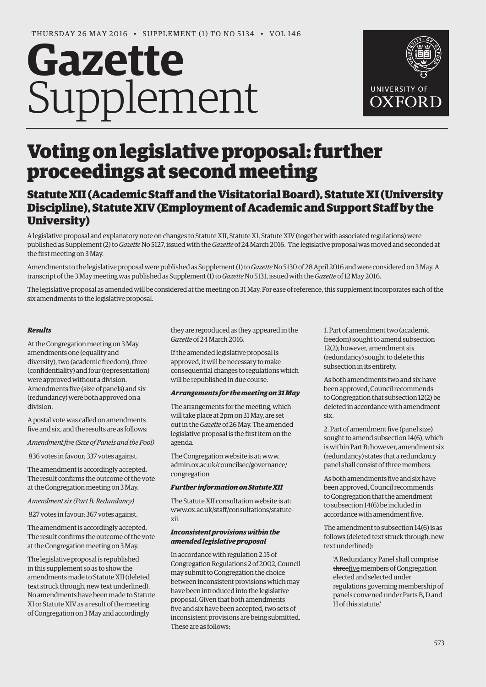# **Gazette** Supplement



## Voting on legislative proposal: further proceedings at second meeting

### Statute XII (Academic Staff and the Visitatorial Board), Statute XI (University Discipline), Statute XIV (Employment of Academic and Support Staff by the University)

A legislative proposal and explanatory note on changes to Statute XII, Statute XI, Statute XIV (together with associated regulations) were published as Supplement (2) to *Gazette* No 5127, issued with the *Gazette* of 24 March 2016. The legislative proposal was moved and seconded at the first meeting on 3 May.

Amendments to the legislative proposal were published as Supplement (1) to *Gazette* No 5130 of 28 April 2016 and were considered on 3 May. A transcript of the 3 May meeting was published as Supplement (1) to *Gazette* No 5131, issued with the *Gazette* of 12 May 2016.

The legislative proposal as amended will be considered at the meeting on 31 May. For ease of reference, this supplement incorporates each of the six amendments to the legislative proposal.

#### *Results*

At the Congregation meeting on 3 May amendments one (equality and diversity), two (academic freedom), three (confidentiality) and four (representation) were approved without a division. Amendments five (size of panels) and six (redundancy) were both approved on a division.

A postal vote was called on amendments five and six, and the results are as follows:

*Amendment five (Size of Panels and the Pool)*

836 votes in favour; 337 votes against.

The amendment is accordingly accepted. The result confirms the outcome of the vote at the Congregation meeting on 3 May.

*Amendment six (Part B: Redundancy)*

827 votes in favour; 367 votes against.

The amendment is accordingly accepted. The result confirms the outcome of the vote at the Congregation meeting on 3 May.

The legislative proposal is republished in this supplement so as to show the amendments made to Statute XII (deleted text struck through, new text underlined). No amendments have been made to Statute XI or Statute XIV as a result of the meeting of Congregation on 3 May and accordingly

they are reproduced as they appeared in the *Gazette* of 24 March 2016.

If the amended legislative proposal is approved, it will be necessary to make consequential changes to regulations which will be republished in due course.

#### *Arrangements for the meeting on 31 May*

The arrangements for the meeting, which will take place at 2pm on 31 May, are set out in the *Gazette* of 26 May. The amended legislative proposal is the first item on the agenda.

The Congregation website is at: www. [admin.ox.ac.uk/councilsec/governance/](www.admin.ox.ac.uk/councilsec/governance/congregation) congregation

#### *Further information on Statute XII*

The Statute XII consultation website is at: [www.ox.ac.uk/staff/consultations/statute](www.ox.ac.uk/staff/consultations/statute-xii)xii.

#### *Inconsistent provisions within the amended legislative proposal*

In accordance with regulation 2.15 of Congregation Regulations 2 of 2002, Council may submit to Congregation the choice between inconsistent provisions which may have been introduced into the legislative proposal. Given that both amendments five and six have been accepted, two sets of inconsistent provisions are being submitted. These are as follows:

1. Part of amendment two (academic freedom) sought to amend subsection 12(2); however, amendment six (redundancy) sought to delete this subsection in its entirety.

As both amendments two and six have been approved, Council recommends to Congregation that subsection 12(2) be deleted in accordance with amendment six.

2. Part of amendment five (panel size) sought to amend subsection 14(6), which is within Part B; however, amendment six (redundancy) states that a redundancy panel shall consist of three members.

As both amendments five and six have been approved, Council recommends to Congregation that the amendment to subsection 14(6) be included in accordance with amendment five.

The amendment to subsection 14(6) is as follows (deleted text struck through, new text underlined):

'A Redundancy Panel shall comprise threefive members of Congregation elected and selected under regulations governing membership of panels convened under Parts B, D and H of this statute.'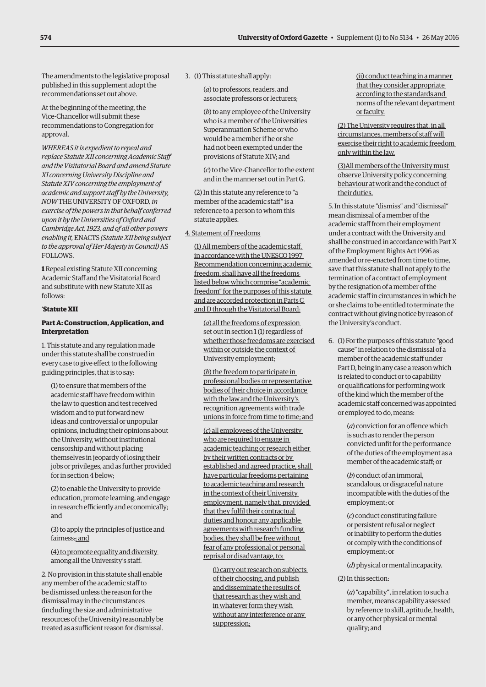The amendments to the legislative proposal published in this supplement adopt the recommendations set out above.

At the beginning of the meeting, the Vice-Chancellor will submit these recommendations to Congregation for approval.

*WHEREAS it is expedient to repeal and replace Statute XII concerning Academic Staff and the Visitatorial Board and amend Statute XI concerning University Discipline and Statute XIV concerning the employment of academic and support staff by the University, NOW* THE UNIVERSITY OF OXFORD*, in exercise of the powers in that behalf conferred upon it by the Universities of Oxford and Cambridge Act, 1923, and of all other powers enabling it,* ENACTS *(Statute XII being subject to the approval of Her Majesty in Council)* AS FOLLOWS.

**1** Repeal existing Statute XII concerning Academic Staff and the Visitatorial Board and substitute with new Statute XII as follows:

#### '**Statute XII**

#### **Part A: Construction, Application, and Interpretation**

1. This statute and any regulation made under this statute shall be construed in every case to give effect to the following guiding principles, that is to say:

(1) to ensure that members of the academic staff have freedom within the law to question and test received wisdom and to put forward new ideas and controversial or unpopular opinions, including their opinions about the University, without institutional censorship and without placing themselves in jeopardy of losing their jobs or privileges, and as further provided for in section 4 below;

(2) to enable the University to provide education, promote learning, and engage in research efficiently and economically; and

(3) to apply the principles of justice and fairness.; and

(4) to promote equality and diversity among all the University's staff.

2. No provision in this statute shall enable any member of the academic staff to be dismissed unless the reason for the dismissal may in the circumstances (including the size and administrative resources of the University) reasonably be treated as a sufficient reason for dismissal.

3. (1) This statute shall apply:

(*a*) to professors, readers, and associate professors or lecturers;

(*b*) to any employee of the University who is a member of the Universities Superannuation Scheme or who would be a member if he or she had not been exempted under the provisions of Statute XIV; and

(*c*) to the Vice-Chancellor to the extent and in the manner set out in Part G.

(2) In this statute any reference to "a member of the academic staff" is a reference to a person to whom this statute applies.

#### 4. Statement of Freedoms

(1) All members of the academic staff, in accordance with the UNESCO 1997 Recommendation concerning academic freedom, shall have all the freedoms listed below which comprise "academic freedom" for the purposes of this statute and are accorded protection in Parts C and D through the Visitatorial Board:

(*a*) all the freedoms of expression set out in section 1 (1) regardless of whether those freedoms are exercised within or outside the context of University employment;

(*b*) the freedom to participate in professional bodies or representative bodies of their choice in accordance with the law and the University's recognition agreements with trade unions in force from time to time; and

(*c*) all employees of the University who are required to engage in academic teaching or research either by their written contracts or by established and agreed practice, shall have particular freedoms pertaining to academic teaching and research in the context of their University employment, namely that, provided that they fulfil their contractual duties and honour any applicable agreements with research funding bodies, they shall be free without fear of any professional or personal reprisal or disadvantage, to:

(i) carry out research on subjects of their choosing, and publish and disseminate the results of that research as they wish and in whatever form they wish without any interference or any suppression;

(ii) conduct teaching in a manner that they consider appropriate according to the standards and norms of the relevant department or faculty.

(2) The University requires that, in all circumstances, members of staff will exercise their right to academic freedom only within the law.

(3)All members of the University must observe University policy concerning behaviour at work and the conduct of their duties.

5. In this statute "dismiss" and "dismissal" mean dismissal of a member of the academic staff from their employment under a contract with the University and shall be construed in accordance with Part X of the Employment Rights Act 1996 as amended or re-enacted from time to time, save that this statute shall not apply to the termination of a contract of employment by the resignation of a member of the academic staff in circumstances in which he or she claims to be entitled to terminate the contract without giving notice by reason of the University's conduct.

6. (1) For the purposes of this statute "good cause" in relation to the dismissal of a member of the academic staff under Part D, being in any case a reason which is related to conduct or to capability or qualifications for performing work of the kind which the member of the academic staff concerned was appointed or employed to do, means:

> (*a*) conviction for an offence which is such as to render the person convicted unfit for the performance of the duties of the employment as a member of the academic staff; or

(*b*) conduct of an immoral, scandalous, or disgraceful nature incompatible with the duties of the employment; or

(*c*) conduct constituting failure or persistent refusal or neglect or inability to perform the duties or comply with the conditions of employment; or

(*d*) physical or mental incapacity.

(2) In this section:

(*a*) "capability", in relation to such a member, means capability assessed by reference to skill, aptitude, health, or any other physical or mental quality; and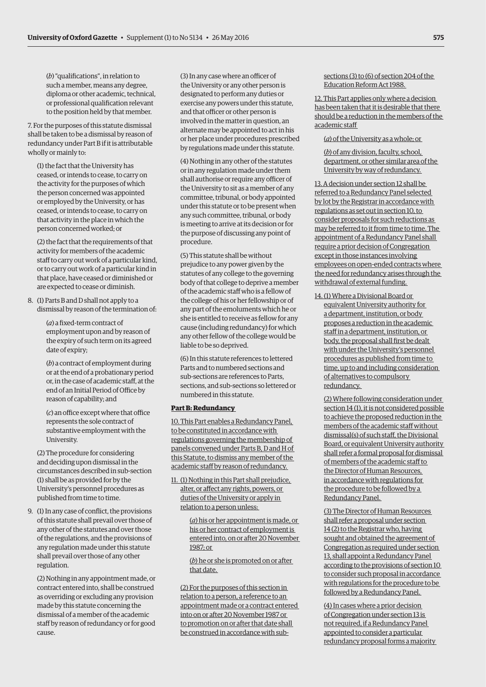(*b*) "qualifications", in relation to such a member, means any degree, diploma or other academic, technical, or professional qualification relevant to the position held by that member.

7. For the purposes of this statute dismissal shall be taken to be a dismissal by reason of redundancy under Part B if it is attributable wholly or mainly to:

(1) the fact that the University has ceased, or intends to cease, to carry on the activity for the purposes of which the person concerned was appointed or employed by the University, or has ceased, or intends to cease, to carry on that activity in the place in which the person concerned worked; or

(2) the fact that the requirements of that activity for members of the academic staff to carry out work of a particular kind, or to carry out work of a particular kind in that place, have ceased or diminished or are expected to cease or diminish.

8. (1) Parts B and D shall not apply to a dismissal by reason of the termination of:

> (*a*) a fixed-term contract of employment upon and by reason of the expiry of such term on its agreed date of expiry;

(*b*) a contract of employment during or at the end of a probationary period or, in the case of academic staff, at the end of an Initial Period of Office by reason of capability; and

(*c*) an office except where that office represents the sole contract of substantive employment with the University.

(2) The procedure for considering and deciding upon dismissal in the circumstances described in sub-section (1) shall be as provided for by the University's personnel procedures as published from time to time.

9. (1) In any case of conflict, the provisions of this statute shall prevail over those of any other of the statutes and over those of the regulations, and the provisions of any regulation made under this statute shall prevail over those of any other regulation.

(2) Nothing in any appointment made, or contract entered into, shall be construed as overriding or excluding any provision made by this statute concerning the dismissal of a member of the academic staff by reason of redundancy or for good cause.

(3) In any case where an officer of the University or any other person is designated to perform any duties or exercise any powers under this statute, and that officer or other person is involved in the matter in question, an alternate may be appointed to act in his or her place under procedures prescribed by regulations made under this statute.

(4) Nothing in any other of the statutes or in any regulation made under them shall authorise or require any officer of the University to sit as a member of any committee, tribunal, or body appointed under this statute or to be present when any such committee, tribunal, or body is meeting to arrive at its decision or for the purpose of discussing any point of procedure.

(5) This statute shall be without prejudice to any power given by the statutes of any college to the governing body of that college to deprive a member of the academic staff who is a fellow of the college of his or her fellowship or of any part of the emoluments which he or she is entitled to receive as fellow for any cause (including redundancy) for which any other fellow of the college would be liable to be so deprived.

(6) In this statute references to lettered Parts and to numbered sections and sub-sections are references to Parts, sections, and sub-sections so lettered or numbered in this statute.

#### **Part B: Redundancy**

10. This Part enables a Redundancy Panel, to be constituted in accordance with regulations governing the membership of panels convened under Parts B, D and H of this Statute, to dismiss any member of the academic staff by reason of redundancy.

11. (1) Nothing in this Part shall prejudice, alter, or affect any rights, powers, or duties of the University or apply in relation to a person unless:

> (*a*) his or her appointment is made, or his or her contract of employment is entered into, on or after 20 November 1987; or

(*b*) he or she is promoted on or after that date.

(2) For the purposes of this section in relation to a person, a reference to an appointment made or a contract entered into on or after 20 November 1987 or to promotion on or after that date shall be construed in accordance with subsections (3) to (6) of section 204 of the Education Reform Act 1988.

12. This Part applies only where a decision has been taken that it is desirable that there should be a reduction in the members of the academic staff

(*a*) of the University as a whole; or

(*b*) of any division, faculty, school, department, or other similar area of the University by way of redundancy.

13. A decision under section 12 shall be referred to a Redundancy Panel selected by lot by the Registrar in accordance with regulations as set out in section 10, to consider proposals for such reductions as may be referred to it from time to time. The appointment of a Redundancy Panel shall require a prior decision of Congregation except in those instances involving employees on open-ended contracts where the need for redundancy arises through the withdrawal of external funding.

14. (1) Where a Divisional Board or equivalent University authority for a department, institution, or body proposes a reduction in the academic staff in a department, institution, or body, the proposal shall first be dealt with under the University's personnel procedures as published from time to time, up to and including consideration of alternatives to compulsory redundancy.

(2) Where following consideration under section 14 (1), it is not considered possible to achieve the proposed reduction in the members of the academic staff without dismissal(s) of such staff, the Divisional Board, or equivalent University authority shall refer a formal proposal for dismissal of members of the academic staff to the Director of Human Resources, in accordance with regulations for the procedure to be followed by a Redundancy Panel.

(3) The Director of Human Resources shall refer a proposal under section 14 (2) to the Registrar who, having sought and obtained the agreement of Congregation as required under section 13, shall appoint a Redundancy Panel according to the provisions of section 10 to consider such proposal in accordance with regulations for the procedure to be followed by a Redundancy Panel.

(4) In cases where a prior decision of Congregation under section 13 is not required, if a Redundancy Panel appointed to consider a particular redundancy proposal forms a majority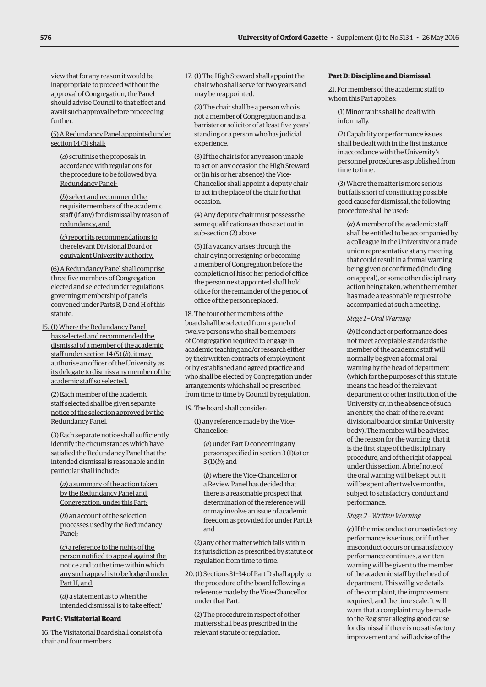view that for any reason it would be inappropriate to proceed without the approval of Congregation, the Panel should advise Council to that effect and await such approval before proceeding further.

(5) A Redundancy Panel appointed under section 14 (3) shall:

(*a*) scrutinise the proposals in accordance with regulations for the procedure to be followed by a Redundancy Panel;

(*b*) select and recommend the requisite members of the academic staff (if any) for dismissal by reason of redundancy; and

(*c*) report its recommendations to the relevant Divisional Board or equivalent University authority.

(6) A Redundancy Panel shall comprise three five members of Congregation elected and selected under regulations governing membership of panels convened under Parts B, D and H of this statute.

15. (1) Where the Redundancy Panel has selected and recommended the dismissal of a member of the academic staff under section 14 (5) (*b*), it may authorise an officer of the University as its delegate to dismiss any member of the academic staff so selected.

(2) Each member of the academic staff selected shall be given separate notice of the selection approved by the Redundancy Panel.

(3) Each separate notice shall sufficiently identify the circumstances which have satisfied the Redundancy Panel that the intended dismissal is reasonable and in particular shall include:

(*a*) a summary of the action taken by the Redundancy Panel and Congregation, under this Part;

(*b*) an account of the selection processes used by the Redundancy Panel;

(*c*) a reference to the rights of the person notified to appeal against the notice and to the time within which any such appeal is to be lodged under Part H; and

(*d*) a statement as to when the intended dismissal is to take effect.'

#### **Part C: Visitatorial Board**

16. The Visitatorial Board shall consist of a chair and four members.

17. (1) The High Steward shall appoint the chair who shall serve for two years and may be reappointed.

(2) The chair shall be a person who is not a member of Congregation and is a barrister or solicitor of at least five years' standing or a person who has judicial experience.

(3) If the chair is for any reason unable to act on any occasion the High Steward or (in his or her absence) the Vice-Chancellor shall appoint a deputy chair to act in the place of the chair for that occasion.

(4) Any deputy chair must possess the same qualifications as those set out in sub-section (2) above.

(5) If a vacancy arises through the chair dying or resigning or becoming a member of Congregation before the completion of his or her period of office the person next appointed shall hold office for the remainder of the period of office of the person replaced.

18. The four other members of the board shall be selected from a panel of twelve persons who shall be members of Congregation required to engage in academic teaching and/or research either by their written contracts of employment or by established and agreed practice and who shall be elected by Congregation under arrangements which shall be prescribed from time to time by Council by regulation.

19. The board shall consider:

(1) any reference made by the Vice-Chancellor:

(*a*) under Part D concerning any person specified in section 3 (1)(*a*) or 3 (1)(*b*); and

(*b*) where the Vice-Chancellor or a Review Panel has decided that there is a reasonable prospect that determination of the reference will or may involve an issue of academic freedom as provided for under Part D; and

(2) any other matter which falls within its jurisdiction as prescribed by statute or regulation from time to time.

20. (1) Sections 31–34 of Part D shall apply to the procedure of the board following a reference made by the Vice-Chancellor under that Part.

(2) The procedure in respect of other matters shall be as prescribed in the relevant statute or regulation.

#### **Part D: Discipline and Dismissal**

21. For members of the academic staff to whom this Part applies:

(1) Minor faults shall be dealt with informally.

(2) Capability or performance issues shall be dealt with in the first instance in accordance with the University's personnel procedures as published from time to time.

(3) Where the matter is more serious but falls short of constituting possible good cause for dismissal, the following procedure shall be used:

(*a*) A member of the academic staff shall be entitled to be accompanied by a colleague in the University or a trade union representative at any meeting that could result in a formal warning being given or confirmed (including on appeal), or some other disciplinary action being taken, when the member has made a reasonable request to be accompanied at such a meeting.

#### *Stage 1 – Oral Warning*

(*b*) If conduct or performance does not meet acceptable standards the member of the academic staff will normally be given a formal oral warning by the head of department (which for the purposes of this statute means the head of the relevant department or other institution of the University or, in the absence of such an entity, the chair of the relevant divisional board or similar University body). The member will be advised of the reason for the warning, that it is the first stage of the disciplinary procedure, and of the right of appeal under this section. A brief note of the oral warning will be kept but it will be spent after twelve months, subject to satisfactory conduct and performance.

#### *Stage 2 – Written Warning*

(*c*) If the misconduct or unsatisfactory performance is serious, or if further misconduct occurs or unsatisfactory performance continues, a written warning will be given to the member of the academic staff by the head of department. This will give details of the complaint, the improvement required, and the time scale. It will warn that a complaint may be made to the Registrar alleging good cause for dismissal if there is no satisfactory improvement and will advise of the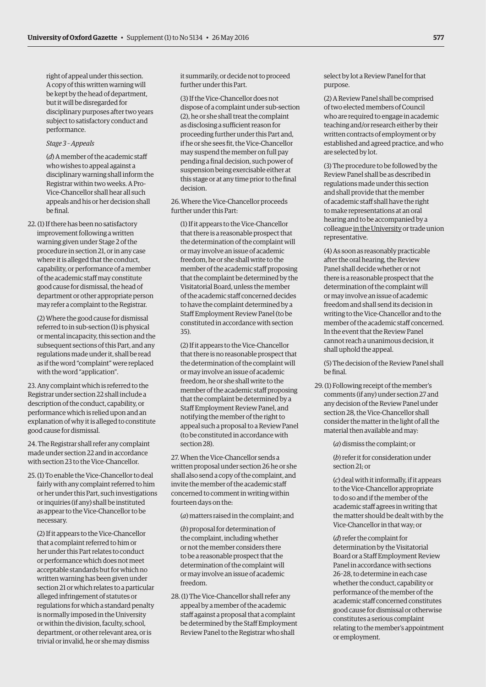right of appeal under this section. A copy of this written warning will be kept by the head of department, but it will be disregarded for disciplinary purposes after two years subject to satisfactory conduct and performance.

#### *Stage 3 – Appeals*

(*d*) A member of the academic staff who wishes to appeal against a disciplinary warning shall inform the Registrar within two weeks. A Pro-Vice-Chancellor shall hear all such appeals and his or her decision shall be final.

22. (1) If there has been no satisfactory improvement following a written warning given under Stage 2 of the procedure in section 21, or in any case where it is alleged that the conduct, capability, or performance of a member of the academic staff may constitute good cause for dismissal, the head of department or other appropriate person may refer a complaint to the Registrar.

(2) Where the good cause for dismissal referred to in sub-section (1) is physical or mental incapacity, this section and the subsequent sections of this Part, and any regulations made under it, shall be read as if the word "complaint" were replaced with the word "application".

23. Any complaint which is referred to the Registrar under section 22 shall include a description of the conduct, capability, or performance which is relied upon and an explanation of why it is alleged to constitute good cause for dismissal.

24. The Registrar shall refer any complaint made under section 22 and in accordance with section 23 to the Vice-Chancellor.

25. (1) To enable the Vice-Chancellor to deal fairly with any complaint referred to him or her under this Part, such investigations or inquiries (if any) shall be instituted as appear to the Vice-Chancellor to be necessary.

(2) If it appears to the Vice-Chancellor that a complaint referred to him or her under this Part relates to conduct or performance which does not meet acceptable standards but for which no written warning has been given under section 21 or which relates to a particular alleged infringement of statutes or regulations for which a standard penalty is normally imposed in the University or within the division, faculty, school, department, or other relevant area, or is trivial or invalid, he or she may dismiss

it summarily, or decide not to proceed further under this Part.

(3) If the Vice-Chancellor does not dispose of a complaint under sub-section (2), he or she shall treat the complaint as disclosing a sufficient reason for proceeding further under this Part and, if he or she sees fit, the Vice-Chancellor may suspend the member on full pay pending a final decision, such power of suspension being exercisable either at this stage or at any time prior to the final decision.

26. Where the Vice-Chancellor proceeds further under this Part:

(1) If it appears to the Vice-Chancellor that there is a reasonable prospect that the determination of the complaint will or may involve an issue of academic freedom, he or she shall write to the member of the academic staff proposing that the complaint be determined by the Visitatorial Board, unless the member of the academic staff concerned decides to have the complaint determined by a Staff Employment Review Panel (to be constituted in accordance with section 35).

(2) If it appears to the Vice-Chancellor that there is no reasonable prospect that the determination of the complaint will or may involve an issue of academic freedom, he or she shall write to the member of the academic staff proposing that the complaint be determined by a Staff Employment Review Panel, and notifying the member of the right to appeal such a proposal to a Review Panel (to be constituted in accordance with section 28).

27. When the Vice-Chancellor sends a written proposal under section 26 he or she shall also send a copy of the complaint, and invite the member of the academic staff concerned to comment in writing within fourteen days on the:

(*a*) matters raised in the complaint; and

(*b*) proposal for determination of the complaint, including whether or not the member considers there to be a reasonable prospect that the determination of the complaint will or may involve an issue of academic freedom.

28. (1) The Vice-Chancellor shall refer any appeal by a member of the academic staff against a proposal that a complaint be determined by the Staff Employment Review Panel to the Registrar who shall

select by lot a Review Panel for that purpose.

(2) A Review Panel shall be comprised of two elected members of Council who are required to engage in academic teaching and/or research either by their written contracts of employment or by established and agreed practice, and who are selected by lot.

(3) The procedure to be followed by the Review Panel shall be as described in regulations made under this section and shall provide that the member of academic staff shall have the right to make representations at an oral hearing and to be accompanied by a colleague in the University or trade union representative.

(4) As soon as reasonably practicable after the oral hearing, the Review Panel shall decide whether or not there is a reasonable prospect that the determination of the complaint will or may involve an issue of academic freedom and shall send its decision in writing to the Vice-Chancellor and to the member of the academic staff concerned. In the event that the Review Panel cannot reach a unanimous decision, it shall uphold the appeal.

(5) The decision of the Review Panel shall be final.

29. (1) Following receipt of the member's comments (if any) under section 27 and any decision of the Review Panel under section 28, the Vice-Chancellor shall consider the matter in the light of all the material then available and may:

(*a*) dismiss the complaint; or

(*b*) refer it for consideration under section 21; or

(*c*) deal with it informally, if it appears to the Vice-Chancellor appropriate to do so and if the member of the academic staff agrees in writing that the matter should be dealt with by the Vice-Chancellor in that way; or

(*d*) refer the complaint for determination by the Visitatorial Board or a Staff Employment Review Panel in accordance with sections 26–28, to determine in each case whether the conduct, capability or performance of the member of the academic staff concerned constitutes good cause for dismissal or otherwise constitutes a serious complaint relating to the member's appointment or employment.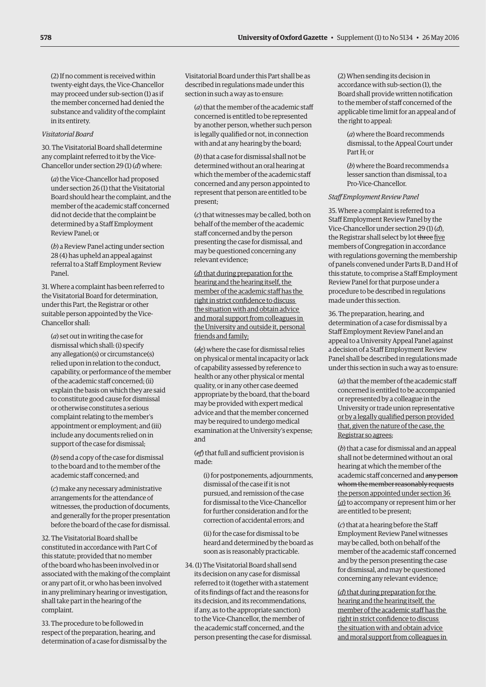(2) If no comment is received within twenty-eight days, the Vice-Chancellor may proceed under sub-section (1) as if the member concerned had denied the substance and validity of the complaint in its entirety.

#### *Visitatorial Board*

30. The Visitatorial Board shall determine any complaint referred to it by the Vice-Chancellor under section 29 (1) (*d*) where:

(*a*) the Vice-Chancellor had proposed under section 26 (1) that the Visitatorial Board should hear the complaint, and the member of the academic staff concerned did not decide that the complaint be determined by a Staff Employment Review Panel; or

(*b*) a Review Panel acting under section 28 (4) has upheld an appeal against referral to a Staff Employment Review Panel.

31. Where a complaint has been referred to the Visitatorial Board for determination, under this Part, the Registrar or other suitable person appointed by the Vice-Chancellor shall:

(*a*) set out in writing the case for dismissal which shall: (i) specify any allegation(s) or circumstance(s) relied upon in relation to the conduct, capability, or performance of the member of the academic staff concerned; (ii) explain the basis on which they are said to constitute good cause for dismissal or otherwise constitutes a serious complaint relating to the member's appointment or employment; and (iii) include any documents relied on in support of the case for dismissal;

(*b*) send a copy of the case for dismissal to the board and to the member of the academic staff concerned; and

(*c*) make any necessary administrative arrangements for the attendance of witnesses, the production of documents, and generally for the proper presentation before the board of the case for dismissal.

32. The Visitatorial Board shall be constituted in accordance with Part C of this statute; provided that no member of the board who has been involved in or associated with the making of the complaint or any part of it, or who has been involved in any preliminary hearing or investigation, shall take part in the hearing of the complaint.

33. The procedure to be followed in respect of the preparation, hearing, and determination of a case for dismissal by the Visitatorial Board under this Part shall be as described in regulations made under this section in such a way as to ensure:

(*a*) that the member of the academic staff concerned is entitled to be represented by another person, whether such person is legally qualified or not, in connection with and at any hearing by the board;

(*b*) that a case for dismissal shall not be determined without an oral hearing at which the member of the academic staff concerned and any person appointed to represent that person are entitled to be present;

(*c*) that witnesses may be called, both on behalf of the member of the academic staff concerned and by the person presenting the case for dismissal, and may be questioned concerning any relevant evidence;

(*d*) that during preparation for the hearing and the hearing itself, the member of the academic staff has the right in strict confidence to discuss the situation with and obtain advice and moral support from colleagues in the University and outside it, personal friends and family;

(*de*) where the case for dismissal relies on physical or mental incapacity or lack of capability assessed by reference to health or any other physical or mental quality, or in any other case deemed appropriate by the board, that the board may be provided with expert medical advice and that the member concerned may be required to undergo medical examination at the University's expense; and

(*ef*) that full and sufficient provision is made:

(i) for postponements, adjournments, dismissal of the case if it is not pursued, and remission of the case for dismissal to the Vice-Chancellor for further consideration and for the correction of accidental errors; and

(ii) for the case for dismissal to be heard and determined by the board as soon as is reasonably practicable.

34. (1) The Visitatorial Board shall send its decision on any case for dismissal referred to it (together with a statement of its findings of fact and the reasons for its decision, and its recommendations, if any, as to the appropriate sanction) to the Vice-Chancellor, the member of the academic staff concerned, and the person presenting the case for dismissal.

(2) When sending its decision in accordance with sub-section (1), the Board shall provide written notification to the member of staff concerned of the applicable time limit for an appeal and of the right to appeal:

(*a*) where the Board recommends dismissal, to the Appeal Court under Part H; or

(*b*) where the Board recommends a lesser sanction than dismissal, to a Pro-Vice-Chancellor.

#### *Staff Employment Review Panel*

35. Where a complaint is referred to a Staff Employment Review Panel by the Vice-Chancellor under section 29 (1) (*d*), the Registrar shall select by lot three five members of Congregation in accordance with regulations governing the membership of panels convened under Parts B, D and H of this statute, to comprise a Staff Employment Review Panel for that purpose under a procedure to be described in regulations made under this section.

36. The preparation, hearing, and determination of a case for dismissal by a Staff Employment Review Panel and an appeal to a University Appeal Panel against a decision of a Staff Employment Review Panel shall be described in regulations made under this section in such a way as to ensure:

(*a*) that the member of the academic staff concerned is entitled to be accompanied or represented by a colleague in the University or trade union representative or by a legally qualified person provided that, given the nature of the case, the Registrar so agrees;

(*b*) that a case for dismissal and an appeal shall not be determined without an oral hearing at which the member of the academic staff concerned and any person whom the member reasonably requests the person appointed under section 36 (*a*) to accompany or represent him or her are entitled to be present;

(*c*) that at a hearing before the Staff Employment Review Panel witnesses may be called, both on behalf of the member of the academic staff concerned and by the person presenting the case for dismissal, and may be questioned concerning any relevant evidence;

(*d*) that during preparation for the hearing and the hearing itself, the member of the academic staff has the right in strict confidence to discuss the situation with and obtain advice and moral support from colleagues in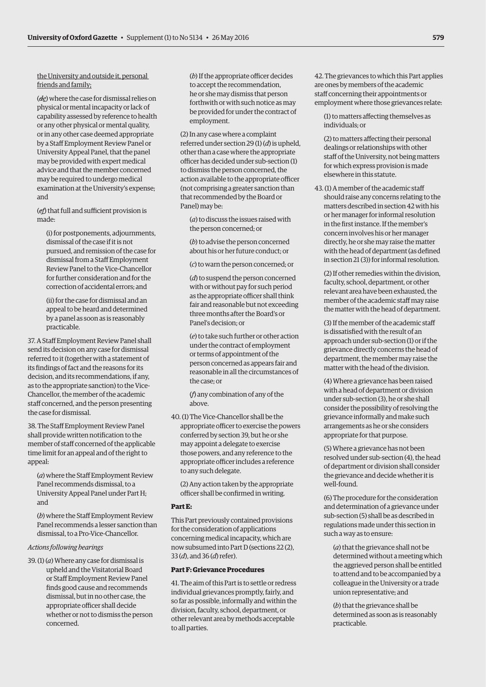#### the University and outside it, personal friends and family;

(*de*) where the case for dismissal relies on physical or mental incapacity or lack of capability assessed by reference to health or any other physical or mental quality, or in any other case deemed appropriate by a Staff Employment Review Panel or University Appeal Panel, that the panel may be provided with expert medical advice and that the member concerned may be required to undergo medical examination at the University's expense; and

(*ef*) that full and sufficient provision is made:

(i) for postponements, adjournments, dismissal of the case if it is not pursued, and remission of the case for dismissal from a Staff Employment Review Panel to the Vice-Chancellor for further consideration and for the correction of accidental errors; and

(ii) for the case for dismissal and an appeal to be heard and determined by a panel as soon as is reasonably practicable.

37. A Staff Employment Review Panel shall send its decision on any case for dismissal referred to it (together with a statement of its findings of fact and the reasons for its decision, and its recommendations, if any, as to the appropriate sanction) to the Vice-Chancellor, the member of the academic staff concerned, and the person presenting the case for dismissal.

38. The Staff Employment Review Panel shall provide written notification to the member of staff concerned of the applicable time limit for an appeal and of the right to appeal:

(*a*) where the Staff Employment Review Panel recommends dismissal, to a University Appeal Panel under Part H; and

(*b*) where the Staff Employment Review Panel recommends a lesser sanction than dismissal, to a Pro-Vice-Chancellor.

#### *Actions following hearings*

39. (1) (*a*) Where any case for dismissal is upheld and the Visitatorial Board or Staff Employment Review Panel finds good cause and recommends dismissal, but in no other case, the appropriate officer shall decide whether or not to dismiss the person concerned.

(*b*) If the appropriate officer decides to accept the recommendation, he or she may dismiss that person forthwith or with such notice as may be provided for under the contract of employment.

(2) In any case where a complaint referred under section 29 (1) (*d*) is upheld, other than a case where the appropriate officer has decided under sub-section (1) to dismiss the person concerned, the action available to the appropriate officer (not comprising a greater sanction than that recommended by the Board or Panel) may be:

(*a*) to discuss the issues raised with the person concerned; or

(*b*) to advise the person concerned about his or her future conduct; or

(*c*) to warn the person concerned; or

(*d*) to suspend the person concerned with or without pay for such period as the appropriate officer shall think fair and reasonable but not exceeding three months after the Board's or Panel's decision; or

(*e*) to take such further or other action under the contract of employment or terms of appointment of the person concerned as appears fair and reasonable in all the circumstances of the case; or

(*f*) any combination of any of the above.

40. (1) The Vice-Chancellor shall be the appropriate officer to exercise the powers conferred by section 39, but he or she may appoint a delegate to exercise those powers, and any reference to the appropriate officer includes a reference to any such delegate.

(2) Any action taken by the appropriate officer shall be confirmed in writing.

#### **Part E:**

This Part previously contained provisions for the consideration of applications concerning medical incapacity, which are now subsumed into Part D (sections 22 (2), 33 (*d*), and 36 (*d*) refer).

#### **Part F: Grievance Procedures**

41. The aim of this Part is to settle or redress individual grievances promptly, fairly, and so far as possible, informally and within the division, faculty, school, department, or other relevant area by methods acceptable to all parties.

42. The grievances to which this Part applies are ones by members of the academic staff concerning their appointments or employment where those grievances relate:

(1) to matters affecting themselves as individuals; or

(2) to matters affecting their personal dealings or relationships with other staff of the University, not being matters for which express provision is made elsewhere in this statute.

43. (1) A member of the academic staff should raise any concerns relating to the matters described in section 42 with his or her manager for informal resolution in the first instance. If the member's concern involves his or her manager directly, he or she may raise the matter with the head of department (as defined in section 21 (3)) for informal resolution.

(2) If other remedies within the division, faculty, school, department, or other relevant area have been exhausted, the member of the academic staff may raise the matter with the head of department.

(3) If the member of the academic staff is dissatisfied with the result of an approach under sub-section (1) or if the grievance directly concerns the head of department, the member may raise the matter with the head of the division.

(4) Where a grievance has been raised with a head of department or division under sub-section (3), he or she shall consider the possibility of resolving the grievance informally and make such arrangements as he or she considers appropriate for that purpose.

(5) Where a grievance has not been resolved under sub-section (4), the head of department or division shall consider the grievance and decide whether it is well-found.

(6) The procedure for the consideration and determination of a grievance under sub-section (5) shall be as described in regulations made under this section in such a way as to ensure:

(*a*) that the grievance shall not be determined without a meeting which the aggrieved person shall be entitled to attend and to be accompanied by a colleague in the University or a trade union representative; and

(*b*) that the grievance shall be determined as soon as is reasonably practicable.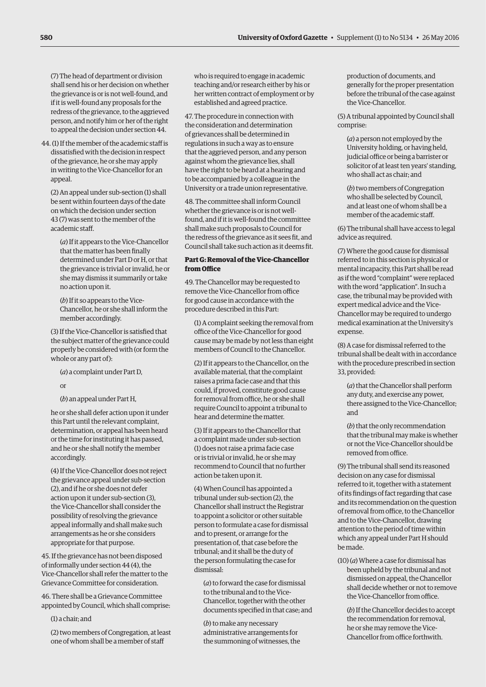(7) The head of department or division shall send his or her decision on whether the grievance is or is not well-found, and if it is well-found any proposals for the redress of the grievance, to the aggrieved person, and notify him or her of the right to appeal the decision under section 44.

44. (1) If the member of the academic staff is dissatisfied with the decision in respect of the grievance, he or she may apply in writing to the Vice-Chancellor for an appeal.

(2) An appeal under sub-section (1) shall be sent within fourteen days of the date on which the decision under section 43 (7) was sent to the member of the academic staff.

(*a*) If it appears to the Vice-Chancellor that the matter has been finally determined under Part D or H, or that the grievance is trivial or invalid, he or she may dismiss it summarily or take no action upon it.

(*b*) If it so appears to the Vice-Chancellor, he or she shall inform the member accordingly.

(3) If the Vice-Chancellor is satisfied that the subject matter of the grievance could properly be considered with (or form the whole or any part of):

(*a*) a complaint under Part D,

or

(*b*) an appeal under Part H,

he or she shall defer action upon it under this Part until the relevant complaint, determination, or appeal has been heard or the time for instituting it has passed, and he or she shall notify the member accordingly.

(4) If the Vice-Chancellor does not reject the grievance appeal under sub-section (2), and if he or she does not defer action upon it under sub-section (3), the Vice-Chancellor shall consider the possibility of resolving the grievance appeal informally and shall make such arrangements as he or she considers appropriate for that purpose.

45. If the grievance has not been disposed of informally under section 44 (4), the Vice-Chancellor shall refer the matter to the Grievance Committee for consideration.

46. There shall be a Grievance Committee appointed by Council, which shall comprise:

(1) a chair; and

(2) two members of Congregation, at least one of whom shall be a member of staff

who is required to engage in academic teaching and/or research either by his or her written contract of employment or by established and agreed practice.

47. The procedure in connection with the consideration and determination of grievances shall be determined in regulations in such a way as to ensure that the aggrieved person, and any person against whom the grievance lies, shall have the right to be heard at a hearing and to be accompanied by a colleague in the University or a trade union representative.

48. The committee shall inform Council whether the grievance is or is not wellfound, and if it is well-found the committee shall make such proposals to Council for the redress of the grievance as it sees fit, and Council shall take such action as it deems fit.

#### **Part G: Removal of the Vice-Chancellor from Office**

49. The Chancellor may be requested to remove the Vice-Chancellor from office for good cause in accordance with the procedure described in this Part:

(1) A complaint seeking the removal from office of the Vice-Chancellor for good cause may be made by not less than eight members of Council to the Chancellor.

(2) If it appears to the Chancellor, on the available material, that the complaint raises a prima facie case and that this could, if proved, constitute good cause for removal from office, he or she shall require Council to appoint a tribunal to hear and determine the matter.

(3) If it appears to the Chancellor that a complaint made under sub-section (1) does not raise a prima facie case or is trivial or invalid, he or she may recommend to Council that no further action be taken upon it.

(4) When Council has appointed a tribunal under sub-section (2), the Chancellor shall instruct the Registrar to appoint a solicitor or other suitable person to formulate a case for dismissal and to present, or arrange for the presentation of, that case before the tribunal; and it shall be the duty of the person formulating the case for dismissal:

(*a*) to forward the case for dismissal to the tribunal and to the Vice-Chancellor, together with the other documents specified in that case; and

(*b*) to make any necessary administrative arrangements for the summoning of witnesses, the production of documents, and generally for the proper presentation before the tribunal of the case against the Vice-Chancellor.

(5) A tribunal appointed by Council shall comprise:

(*a*) a person not employed by the University holding, or having held, judicial office or being a barrister or solicitor of at least ten years' standing, who shall act as chair; and

(*b*) two members of Congregation who shall be selected by Council, and at least one of whom shall be a member of the academic staff.

(6) The tribunal shall have access to legal advice as required.

(7) Where the good cause for dismissal referred to in this section is physical or mental incapacity, this Part shall be read as if the word "complaint" were replaced with the word "application". In such a case, the tribunal may be provided with expert medical advice and the Vice-Chancellor may be required to undergo medical examination at the University's expense.

(8) A case for dismissal referred to the tribunal shall be dealt with in accordance with the procedure prescribed in section 33, provided:

(*a*) that the Chancellor shall perform any duty, and exercise any power, there assigned to the Vice-Chancellor; and

(*b*) that the only recommendation that the tribunal may make is whether or not the Vice-Chancellor should be removed from office.

(9) The tribunal shall send its reasoned decision on any case for dismissal referred to it, together with a statement of its findings of fact regarding that case and its recommendation on the question of removal from office, to the Chancellor and to the Vice-Chancellor, drawing attention to the period of time within which any appeal under Part H should be made.

(10) (*a*) Where a case for dismissal has been upheld by the tribunal and not dismissed on appeal, the Chancellor shall decide whether or not to remove the Vice-Chancellor from office.

(*b*) If the Chancellor decides to accept the recommendation for removal, he or she may remove the Vice-Chancellor from office forthwith.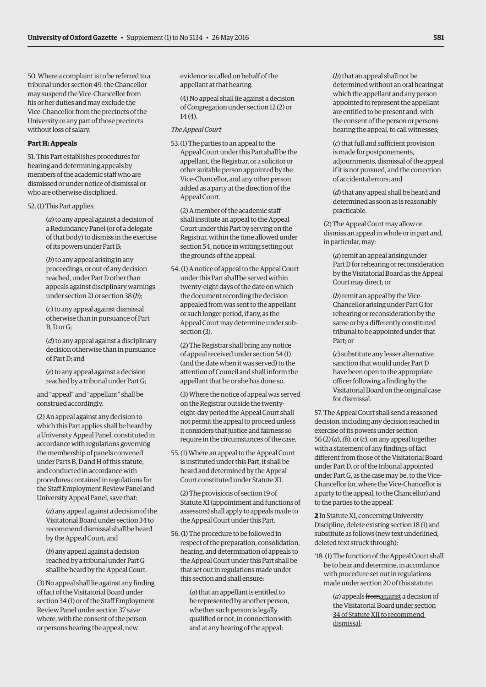50. Where a complaint is to be referred to a tribunal under section 49, the Chancellor may suspend the Vice-Chancellor from his or her duties and may exclude the Vice-Chancellor from the precincts of the University or any part of those precincts without loss of salary.

#### **Part H: Appeals**

51. This Part establishes procedures for hearing and determining appeals by members of the academic staff who are dismissed or under notice of dismissal or who are otherwise disciplined.

52. (1) This Part applies:

(*a*) to any appeal against a decision of a Redundancy Panel (or of a delegate of that body) to dismiss in the exercise of its powers under Part B;

(*b*) to any appeal arising in any proceedings, or out of any decision reached, under Part D other than appeals against disciplinary warnings under section 21 or section 38 (*b*);

(*c*) to any appeal against dismissal otherwise than in pursuance of Part B, D or G;

(*d*) to any appeal against a disciplinary decision otherwise than in pursuance of Part D; and

(*e*) to any appeal against a decision reached by a tribunal under Part G;

and "appeal" and "appellant" shall be construed accordingly.

(2) An appeal against any decision to which this Part applies shall be heard by a University Appeal Panel, constituted in accordance with regulations governing the membership of panels convened under Parts B, D and H of this statute, and conducted in accordance with procedures contained in regulations for the Staff Employment Review Panel and University Appeal Panel, save that:

(*a*) any appeal against a decision of the Visitatorial Board under section 34 to recommend dismissal shall be heard by the Appeal Court; and

(*b*) any appeal against a decision reached by a tribunal under Part G shall be heard by the Appeal Court.

(3) No appeal shall lie against any finding of fact of the Visitatorial Board under section 34 (1) or of the Staff Employment Review Panel under section 37 save where, with the consent of the person or persons hearing the appeal, new

evidence is called on behalf of the appellant at that hearing.

(4) No appeal shall lie against a decision of Congregation under section 12 (2) or 14 (4).

#### *The Appeal Court*

53.(1) The parties to an appeal to the Appeal Court under this Part shall be the appellant, the Registrar, or a solicitor or other suitable person appointed by the Vice-Chancellor, and any other person added as a party at the direction of the Appeal Court.

(2) A member of the academic staff shall institute an appeal to the Appeal Court under this Part by serving on the Registrar, within the time allowed under section 54, notice in writing setting out the grounds of the appeal.

54. (1) A notice of appeal to the Appeal Court under this Part shall be served within twenty-eight days of the date on which the document recording the decision appealed from was sent to the appellant or such longer period, if any, as the Appeal Court may determine under subsection (3).

(2) The Registrar shall bring any notice of appeal received under section 54 (1) (and the date when it was served) to the attention of Council and shall inform the appellant that he or she has done so.

(3) Where the notice of appeal was served on the Registrar outside the twentyeight-day period the Appeal Court shall not permit the appeal to proceed unless it considers that justice and fairness so require in the circumstances of the case.

55. (1) Where an appeal to the Appeal Court is instituted under this Part, it shall be heard and determined by the Appeal Court constituted under Statute XI.

(2) The provisions of section 19 of Statute XI (appointment and functions of assessors) shall apply to appeals made to the Appeal Court under this Part.

56. (1) The procedure to be followed in respect of the preparation, consolidation, hearing, and determination of appeals to the Appeal Court under this Part shall be that set out in regulations made under this section and shall ensure:

> (*a*) that an appellant is entitled to be represented by another person, whether such person is legally qualified or not, in connection with and at any hearing of the appeal;

(*b*) that an appeal shall not be determined without an oral hearing at which the appellant and any person appointed to represent the appellant are entitled to be present and, with the consent of the person or persons hearing the appeal, to call witnesses;

(*c*) that full and sufficient provision is made for postponements, adjournments, dismissal of the appeal if it is not pursued, and the correction of accidental errors; and

(*d*) that any appeal shall be heard and determined as soon as is reasonably practicable.

(2) The Appeal Court may allow or dismiss an appeal in whole or in part and, in particular, may:

(*a*) remit an appeal arising under Part D for rehearing or reconsideration by the Visitatorial Board as the Appeal Court may direct; or

(*b*) remit an appeal by the Vice-Chancellor arising under Part G for rehearing or reconsideration by the same or by a differently constituted tribunal to be appointed under that Part; or

(*c*) substitute any lesser alternative sanction that would under Part D have been open to the appropriate officer following a finding by the Visitatorial Board on the original case for dismissal.

57. The Appeal Court shall send a reasoned decision, including any decision reached in exercise of its powers under section 56 (2) (*a*), *(b*), or (*c*), on any appeal together with a statement of any findings of fact different from those of the Visitatorial Board under Part D, or of the tribunal appointed under Part G, as the case may be, to the Vice-Chancellor (or, where the Vice-Chancellor is a party to the appeal, to the Chancellor) and to the parties to the appeal.'

**2** In Statute XI, concerning University Discipline, delete existing section 18 (1) and substitute as follows (new text underlined, deleted text struck through):

'18. (1) The function of the Appeal Court shall be to hear and determine, in accordance with procedure set out in regulations made under section 20 of this statute:

> (*a*) appeals fromagainst a decision of the Visitatorial Board under section 34 of Statute XII to recommend dismissal;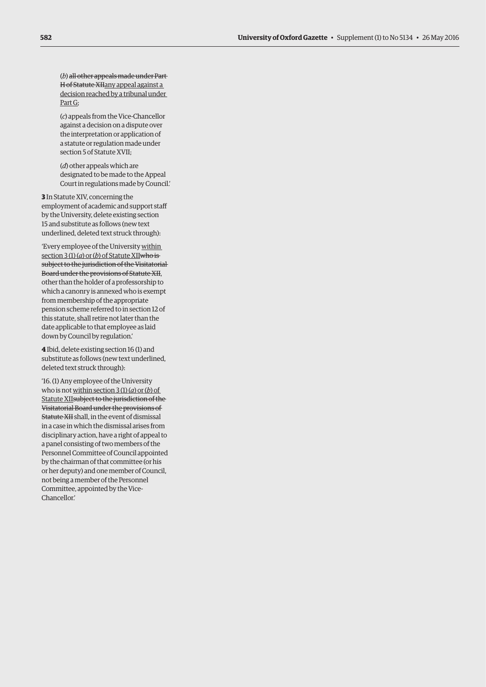(*b*) all other appeals made under Part H of Statute XIIany appeal against a decision reached by a tribunal under Part G;

(*c*) appeals from the Vice-Chancellor against a decision on a dispute over the interpretation or application of a statute or regulation made under section 5 of Statute XVII;

(*d*) other appeals which are designated to be made to the Appeal Court in regulations made by Council.'

**3** In Statute XIV, concerning the employment of academic and support staff by the University, delete existing section 15 and substitute as follows (new text underlined, deleted text struck through):

'Every employee of the University within section 3 (1) (*a*) or (*b*) of Statute XIIwho is subject to the jurisdiction of the Visitatorial Board under the provisions of Statute XII, other than the holder of a professorship to which a canonry is annexed who is exempt from membership of the appropriate pension scheme referred to in section 12 of this statute, shall retire not later than the date applicable to that employee as laid down by Council by regulation.'

**4** Ibid, delete existing section 16 (1) and substitute as follows (new text underlined, deleted text struck through):

'16. (1) Any employee of the University who is not within section 3 (1) (*a*) or (*b*) of Statute XIIsubject to the jurisdiction of the Visitatorial Board under the provisions of Statute XII shall, in the event of dismissal in a case in which the dismissal arises from disciplinary action, have a right of appeal to a panel consisting of two members of the Personnel Committee of Council appointed by the chairman of that committee (or his or her deputy) and one member of Council, not being a member of the Personnel Committee, appointed by the Vice-Chancellor.'